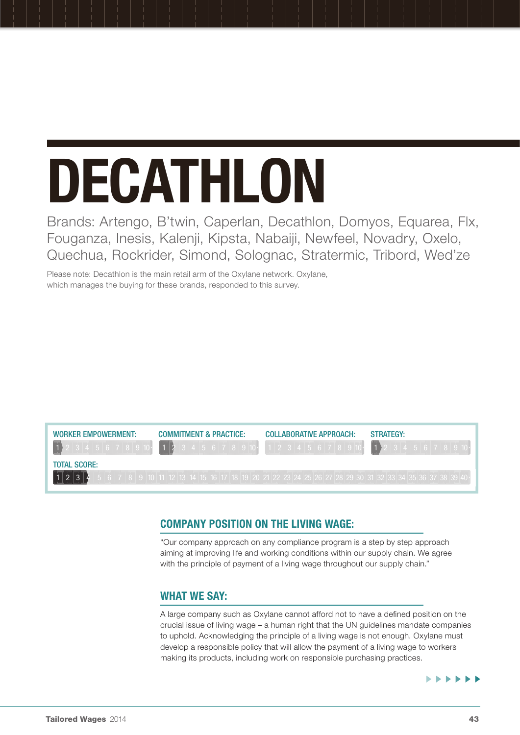# Decathlon

Brands: Artengo, B'twin, Caperlan, Decathlon, Domyos, Equarea, Flx, Fouganza, Inesis, Kalenji, Kipsta, Nabaiji, Newfeel, Novadry, Oxelo, Quechua, Rockrider, Simond, Solognac, Stratermic, Tribord, Wed'ze

Please note: Decathlon is the main retail arm of the Oxylane network. Oxylane, which manages the buying for these brands, responded to this survey.



# Company position on the living wage:

"Our company approach on any compliance program is a step by step approach aiming at improving life and working conditions within our supply chain. We agree with the principle of payment of a living wage throughout our supply chain."

# WHAT WE SAY:

A large company such as Oxylane cannot afford not to have a defined position on the crucial issue of living wage – a human right that the UN guidelines mandate companies to uphold. Acknowledging the principle of a living wage is not enough. Oxylane must develop a responsible policy that will allow the payment of a living wage to workers making its products, including work on responsible purchasing practices.